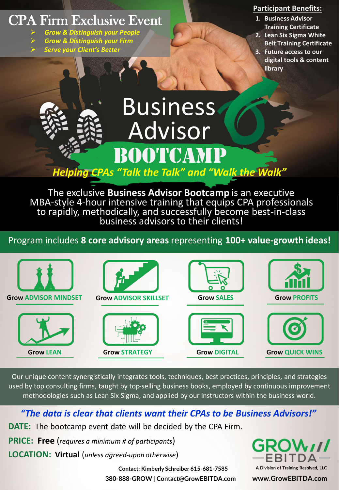# CPA Firm Exclusive Event

- ➢ *Grow & Distinguish your People*
- ➢ *Grow & Distinguish your Firm*
- ➢ *Serve your Client's Better*

### **Participant Benefits:**

- **1. Business Advisor Training Certificate**
- **2. Lean Six Sigma White Belt Training Certificate**
- **3. Future access to our digital tools & content library**

# **Business** Advisor BOOTCAM

*Helping CPAs "Talk the Talk" and "Walk the Walk"*

The exclusive **Business Advisor Bootcamp** is an executive MBA-style 4-hour intensive training that equips CPA professionals to rapidly, methodically, and successfully become best-in-class business advisors to their clients!

Program includes **8 core advisory areas** representing **100+ value-growth ideas!**



Our unique content synergistically integrates tools, techniques, best practices, principles, and strategies used by top consulting firms, taught by top-selling business books, employed by continuous improvement methodologies such as Lean Six Sigma, and applied by our instructors within the business world.

## *"The data is clear that clients want their CPAs to be Business Advisors!"*

**DATE:** The bootcamp event date will be decided by the CPA Firm.

**PRICE: Free** (*requires a minimum # of participants*)

**LOCATION: Virtual** (*unless agreed-upon otherwise*)

**A Division of Training Resolved, LLC**

**380-888-GROW | Contact@GrowEBITDA.com www.GrowEBITDA.com Contact: Kimberly Schreiber 615-681-7585**